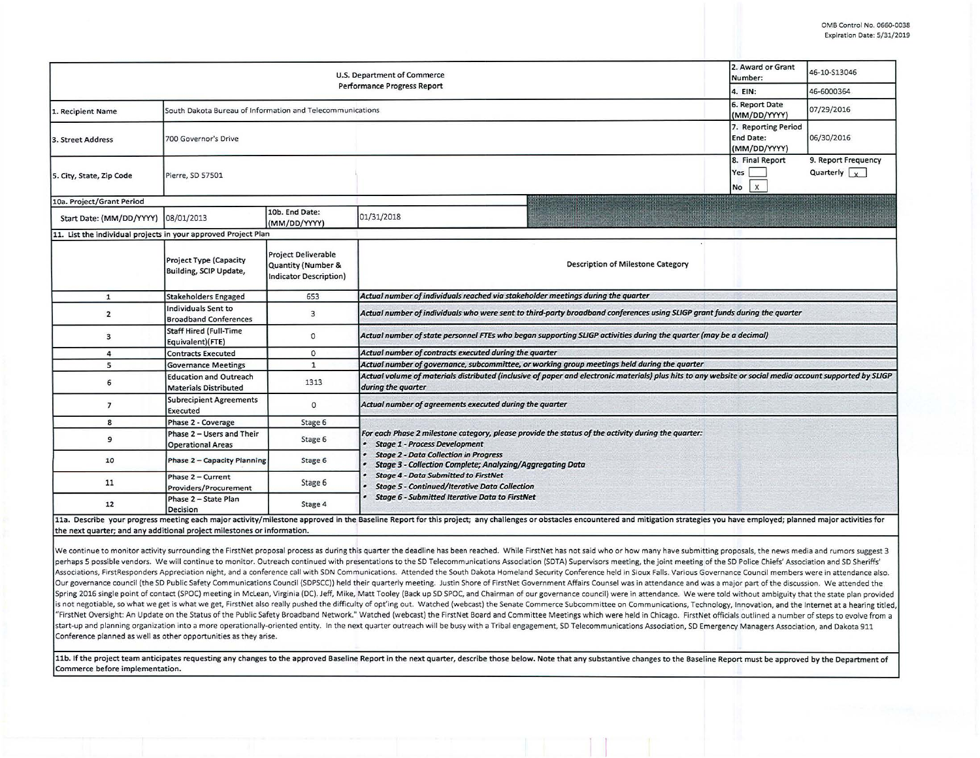| 2. Award or Grant<br>U.S. Department of Commerce<br>Number:<br>Performance Progress Report |                                                               |                                                                                              |                                                                                                                                                                                                                                                                                  |                                                         | 46-10-S13046                                |  |  |  |  |
|--------------------------------------------------------------------------------------------|---------------------------------------------------------------|----------------------------------------------------------------------------------------------|----------------------------------------------------------------------------------------------------------------------------------------------------------------------------------------------------------------------------------------------------------------------------------|---------------------------------------------------------|---------------------------------------------|--|--|--|--|
|                                                                                            | 4. EIN:                                                       | 46-6000364                                                                                   |                                                                                                                                                                                                                                                                                  |                                                         |                                             |  |  |  |  |
| 1. Recipient Name                                                                          | South Dakota Bureau of Information and Telecommunications     |                                                                                              | 6. Report Date<br>07/29/2016<br>(MM/DD/YYYY)                                                                                                                                                                                                                                     |                                                         |                                             |  |  |  |  |
| 3. Street Address                                                                          | 700 Governor's Drive                                          |                                                                                              |                                                                                                                                                                                                                                                                                  | 7. Reporting Period<br><b>End Date:</b><br>(MM/DD/YYYY) | 06/30/2016                                  |  |  |  |  |
| 5. City, State, Zip Code                                                                   | Pierre, SD 57501                                              |                                                                                              |                                                                                                                                                                                                                                                                                  | 8. Final Report<br>Yes  <br>$\mathbf{x}$<br>No          | 9. Report Frequency<br>Quarterly $\sqrt{x}$ |  |  |  |  |
| 10a. Project/Grant Period                                                                  |                                                               |                                                                                              |                                                                                                                                                                                                                                                                                  |                                                         |                                             |  |  |  |  |
| Start Date: (MM/DD/YYYY) 08/01/2013                                                        |                                                               | 10b. End Date:<br>(MM/DD/YYYY)                                                               | 01/31/2018                                                                                                                                                                                                                                                                       |                                                         |                                             |  |  |  |  |
| 11. List the individual projects in your approved Project Plan                             |                                                               |                                                                                              |                                                                                                                                                                                                                                                                                  |                                                         |                                             |  |  |  |  |
|                                                                                            | Project Type (Capacity<br>Building, SCIP Update,              | <b>Project Deliverable</b><br><b>Quantity (Number &amp;</b><br><b>Indicator Description)</b> | Description of Milestone Category                                                                                                                                                                                                                                                |                                                         |                                             |  |  |  |  |
| ${\bf 1}$                                                                                  | <b>Stakeholders Engaged</b>                                   | 653                                                                                          | Actual number of individuals reached via stakeholder meetings during the quarter                                                                                                                                                                                                 |                                                         |                                             |  |  |  |  |
| $\overline{2}$                                                                             | Individuals Sent to<br><b>Broadband Conferences</b>           | $\mathbf{3}$                                                                                 | Actual number of individuals who were sent to third-party broadband conferences using SLIGP grant funds during the quarter                                                                                                                                                       |                                                         |                                             |  |  |  |  |
| 3                                                                                          | <b>Staff Hired (Full-Time</b><br>Equivalent)(FTE)             | $\circ$                                                                                      | Actual number of state personnel FTEs who began supporting SLIGP activities during the quarter (may be a decimal)                                                                                                                                                                |                                                         |                                             |  |  |  |  |
| 4                                                                                          | <b>Contracts Executed</b>                                     | $\circ$                                                                                      | Actual number of contracts executed during the quarter                                                                                                                                                                                                                           |                                                         |                                             |  |  |  |  |
| 5                                                                                          | <b>Governance Meetings</b>                                    | $\mathbf{1}$                                                                                 | Actual number of governance, subcommittee, or working group meetings held during the quarter                                                                                                                                                                                     |                                                         |                                             |  |  |  |  |
| 6                                                                                          | <b>Education and Outreach</b><br><b>Materials Distributed</b> | 1313                                                                                         | Actual volume of materials distributed (inclusive of paper and electronic materials) plus hits to any website or social media account supported by SLIGP<br>during the quarter                                                                                                   |                                                         |                                             |  |  |  |  |
| $\overline{7}$                                                                             | <b>Subrecipient Agreements</b><br>Executed                    | $\circ$                                                                                      | Actual number of agreements executed during the quarter                                                                                                                                                                                                                          |                                                         |                                             |  |  |  |  |
| 8                                                                                          | Phase 2 - Coverage                                            | Stage 6                                                                                      |                                                                                                                                                                                                                                                                                  |                                                         |                                             |  |  |  |  |
| 9                                                                                          | Phase 2 - Users and Their<br><b>Operational Areas</b>         | Stage 6                                                                                      | For each Phase 2 milestone category, please provide the status of the activity during the quarter:<br><b>Stage 1 - Process Development</b>                                                                                                                                       |                                                         |                                             |  |  |  |  |
| 10                                                                                         | Phase 2 - Capacity Planning                                   | Stage 6                                                                                      | <b>Stage 2 - Data Collection in Progress</b><br><b>Stage 3 - Collection Complete; Analyzing/Aggregating Data</b><br><b>Stage 4 - Data Submitted to FirstNet</b><br><b>Stage 5 - Continued/Iterative Data Collection</b><br><b>Stage 6 - Submitted Iterative Data to FirstNet</b> |                                                         |                                             |  |  |  |  |
| 11                                                                                         | Phase 2 - Current<br>Providers/Procurement                    | Stage 6                                                                                      |                                                                                                                                                                                                                                                                                  |                                                         |                                             |  |  |  |  |
| 12                                                                                         | Phase 2 - State Plan<br>Decision                              | Stage 4                                                                                      |                                                                                                                                                                                                                                                                                  |                                                         |                                             |  |  |  |  |
| the next quarter; and any additional project milestones or information.                    |                                                               |                                                                                              | 11a. Describe your progress meeting each major activity/milestone approved in the Baseline Report for this project; any challenges or obstacles encountered and mitigation strategies you have employed; planned major activit                                                   |                                                         |                                             |  |  |  |  |

We continue to monitor activity surrounding the FirstNet proposal process as during this quarter the deadline has been reached. While FirstNet has not said who or how many have submitting proposals, the news media and rumo perhaps 5 possible vendors. We will continue to monitor. Outreach continued with presentations to the SD Telecommunications Association (SDTA) Supervisors meeting, the joint meeting of the SD Police Chiefs' Association and Associations, FirstResponders Appreciation night, and a conference call with SDN Communications. Attended the South Dakota Homeland Security Conference held in Sioux Falls. Various Governance Council members were in attend Our governance council (the SD Public Safety Communications Council (SDPSCC)) held their quarterly meeting. Justin Shore of FirstNet Government Affairs Counsel was in attendance and was a major part of the discussion. We a Spring 2016 single point of contact (SPOC) meeting in McLean, Virginia (DC). Jeff, Mike, Matt Tooley (Back up SD SPOC, and Chairman of our governance council) were in attendance. We were told without ambiguity that the sta is not negotiable, so what we get is what we get, FirstNet also really pushed the difficulty of opt'ing out. Watched (webcast) the Senate Commerce Subcommittee on Communications, Technology, Innovation, and the Internet at "FirstNet Oversight: An Update on the Status of the Public Safety Broadband Network." Watched (webcast) the FirstNet Board and Committee Meetings which were held in Chicago. FirstNet officials outlined a number of steps to start-up and planning organization into a more operationally-oriented entity. In the next quarter outreach will be busy with a Tribal engagement, SD Telecommunications Association, SD Emergency Managers Association, and Da Conference planned as well as other opportunities as they arise.

11b. If the project team anticipates requesting any changes to the approved Baseline Report in the next quarter, describe those below. Note that any substantive changes to the Baseline Report must be approved by the Depart **Commerce before implementation.**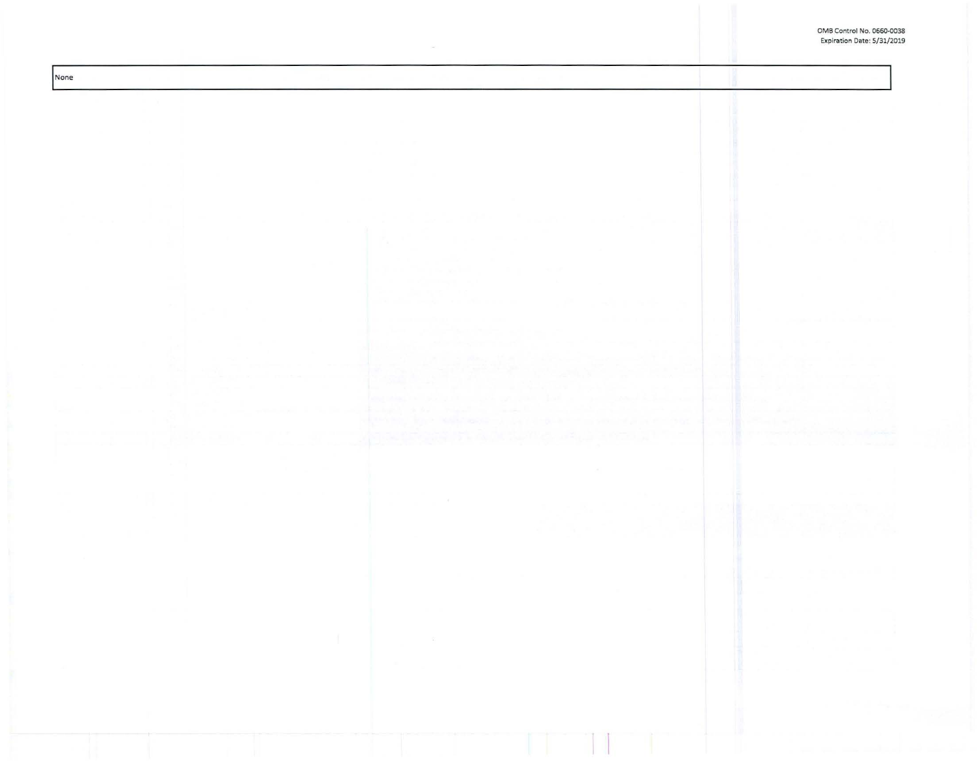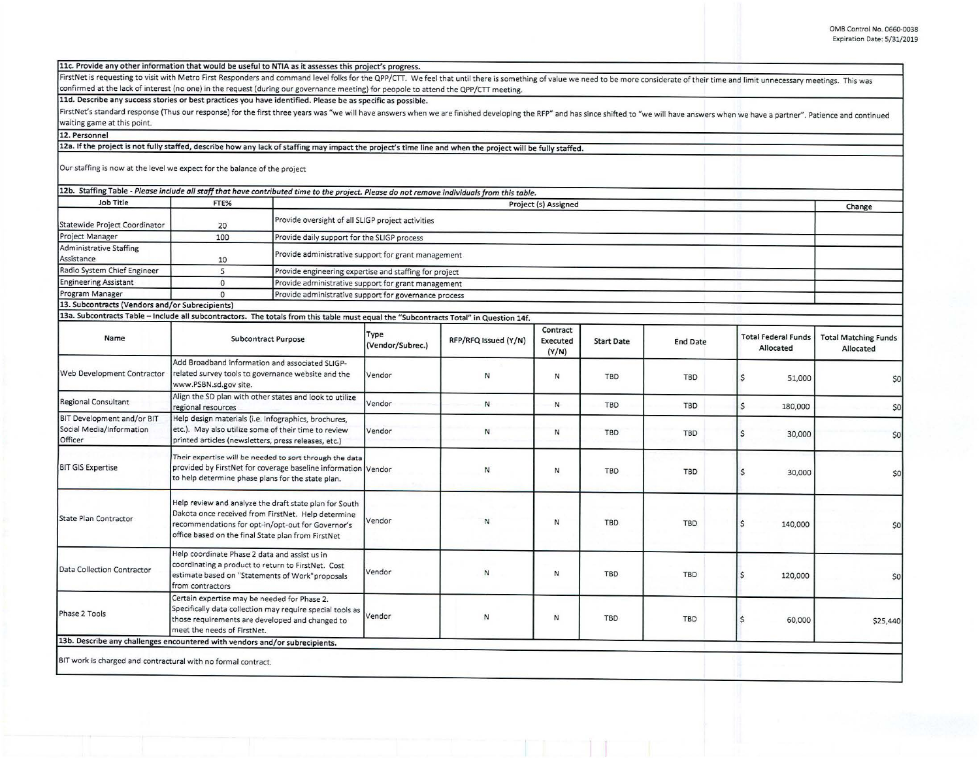**llc. Provide any othe r information that would be usefu l to NTIA as it assesses this project's progress.** 

FirstNet is requesting to visit with Metro First Responders and command level folks for the QPP/CTT. We feel that until there is something of value we need to be more considerate of their time and limit unnecessary meeting confirmed at the lack of interest (no one) in the request (during our governance meeting) for peopole to attend the QPP/CTT meeting.

11d. Describe any success stories or best practices you have identified. Please be as specific as possible.

FirstNet's standard response (Thus our response) for the first three years was "we will have answers when we are finished developing the RFP" and has since shifted to "we will have answers when we have a partner". Patience waiting game at this point.

**12. Personnel** 

12a. If the project is not fully staffed, describe how any lack of staffing may impact the project's time line and when the project will be fully staffed.

Our staffing is now at the level we expect for the balance of the project

|                                                 |      | 12b. Staffing Table - Please include all staff that have contributed time to the project. Please do not remove individuals from this table. |        |  |
|-------------------------------------------------|------|---------------------------------------------------------------------------------------------------------------------------------------------|--------|--|
| Job Title                                       | FTE% | Project (s) Assigned                                                                                                                        | Change |  |
| Statewide Project Coordinator                   | 20   | Provide oversight of all SLIGP project activities                                                                                           |        |  |
| Project Manager                                 | 100  | Provide daily support for the SLIGP process                                                                                                 |        |  |
| <b>Administrative Staffing</b><br>Assistance    | 10   | Provide administrative support for grant management                                                                                         |        |  |
| Radio System Chief Engineer                     |      | Provide engineering expertise and staffing for project                                                                                      |        |  |
| <b>Engineering Assistant</b>                    |      | Provide administrative support for grant management                                                                                         |        |  |
| Program Manager                                 |      | Provide administrative support for governance process                                                                                       |        |  |
| 13. Subcontracts (Vendors and/or Subrecipients) |      |                                                                                                                                             |        |  |

13a. Subcontracts Table - Include all subcontractors. The totals from this table must equal the "Subcontracts Total" in Question 14f.

| Name                                                              | <b>Subcontract Purpose</b>                                                                                                                                                                                              | Type<br>(Vendor/Subrec.) | RFP/RFQ Issued (Y/N) | Contract<br>Executed<br>(Y/N) | <b>Start Date</b> | <b>End Date</b> | <b>Total Federal Funds</b><br>Allocated | <b>Total Matching Funds</b><br>Allocated |
|-------------------------------------------------------------------|-------------------------------------------------------------------------------------------------------------------------------------------------------------------------------------------------------------------------|--------------------------|----------------------|-------------------------------|-------------------|-----------------|-----------------------------------------|------------------------------------------|
| Web Development Contractor                                        | Add Broadband information and associated SLIGP-<br>related survey tools to governance website and the<br>www.PSBN.sd.gov site.                                                                                          | Vendor                   | N                    | N                             | TBD               | TBD             | 51,000                                  | \$0                                      |
| <b>Regional Consultant</b>                                        | Align the SD plan with other states and look to utilize<br>regional resources                                                                                                                                           | Vendor                   | N                    | N                             | TBD               | TBD             | $\zeta$<br>180,000                      | \$0                                      |
| BIT Development and/or BIT<br>Social Media/Information<br>Officer | Help design materials (i.e. Infographics, brochures,<br>etc.). May also utilize some of their time to review<br>printed articles (newsletters, press releases, etc.)                                                    | Vendor                   | И                    | N                             | <b>TBD</b>        | <b>TBD</b>      | 30,000                                  | \$0                                      |
| <b>BIT GIS Expertise</b>                                          | Their expertise will be needed to sort through the data<br>provided by FirstNet for coverage baseline information Vendor<br>to help determine phase plans for the state plan.                                           |                          | N                    | N                             | TBD               | <b>TBD</b>      | 30,000                                  | \$0                                      |
| State Plan Contractor                                             | Help review and analyze the draft state plan for South<br>Dakota once received from FirstNet. Help determine<br>recommendations for opt-in/opt-out for Governor's<br>office based on the final State plan from FirstNet | Vendor                   | N                    | N                             | TBD               | <b>TBD</b>      | 140,000                                 | \$0                                      |
| Data Collection Contractor                                        | Help coordinate Phase 2 data and assist us in<br>coordinating a product to return to FirstNet. Cost<br>estimate based on "Statements of Work"proposals<br>from contractors                                              | Vendor                   | ${\sf N}$            | N                             | <b>TBD</b>        | <b>TBD</b>      | <sub>S</sub><br>120,000                 | \$0                                      |
| Phase 2 Tools                                                     | Certain expertise may be needed for Phase 2.<br>Specifically data collection may require special tools as<br>those requirements are developed and changed to<br>meet the needs of FirstNet.                             | Vendor                   | N                    | N                             | <b>TBD</b>        | <b>TBD</b>      | \$<br>60,000                            | \$25,440                                 |
|                                                                   | 13b. Describe any challenges encountered with vendors and/or subrecipients.                                                                                                                                             |                          |                      |                               |                   |                 |                                         |                                          |